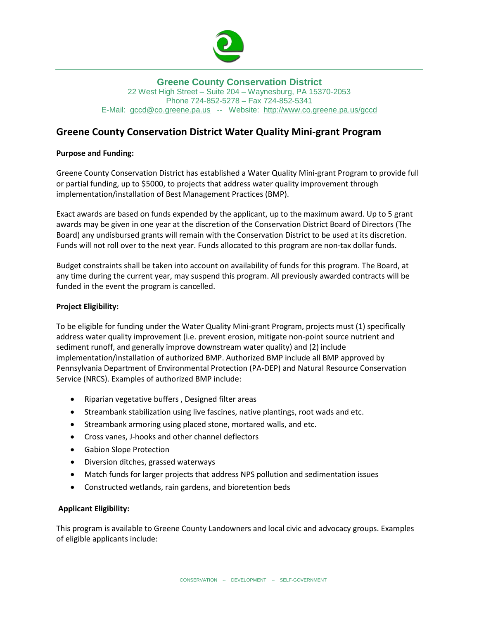

## **Greene County Conservation District** 22 West High Street – Suite 204 – Waynesburg, PA 15370-2053 Phone 724-852-5278 – Fax 724-852-5341 E-Mail: [gccd@co.greene.pa.us](mailto:gccd@co.greene.pa.us) -- Website: <http://www.co.greene.pa.us/gccd>

## **Greene County Conservation District Water Quality Mini-grant Program**

## **Purpose and Funding:**

Greene County Conservation District has established a Water Quality Mini-grant Program to provide full or partial funding, up to \$5000, to projects that address water quality improvement through implementation/installation of Best Management Practices (BMP).

Exact awards are based on funds expended by the applicant, up to the maximum award. Up to 5 grant awards may be given in one year at the discretion of the Conservation District Board of Directors (The Board) any undisbursed grants will remain with the Conservation District to be used at its discretion. Funds will not roll over to the next year. Funds allocated to this program are non-tax dollar funds.

Budget constraints shall be taken into account on availability of funds for this program. The Board, at any time during the current year, may suspend this program. All previously awarded contracts will be funded in the event the program is cancelled.

#### **Project Eligibility:**

To be eligible for funding under the Water Quality Mini-grant Program, projects must (1) specifically address water quality improvement (i.e. prevent erosion, mitigate non-point source nutrient and sediment runoff, and generally improve downstream water quality) and (2) include implementation/installation of authorized BMP. Authorized BMP include all BMP approved by Pennsylvania Department of Environmental Protection (PA-DEP) and Natural Resource Conservation Service (NRCS). Examples of authorized BMP include:

- Riparian vegetative buffers , Designed filter areas
- Streambank stabilization using live fascines, native plantings, root wads and etc.
- Streambank armoring using placed stone, mortared walls, and etc.
- Cross vanes, J-hooks and other channel deflectors
- Gabion Slope Protection
- Diversion ditches, grassed waterways
- Match funds for larger projects that address NPS pollution and sedimentation issues
- Constructed wetlands, rain gardens, and bioretention beds

## **Applicant Eligibility:**

This program is available to Greene County Landowners and local civic and advocacy groups. Examples of eligible applicants include: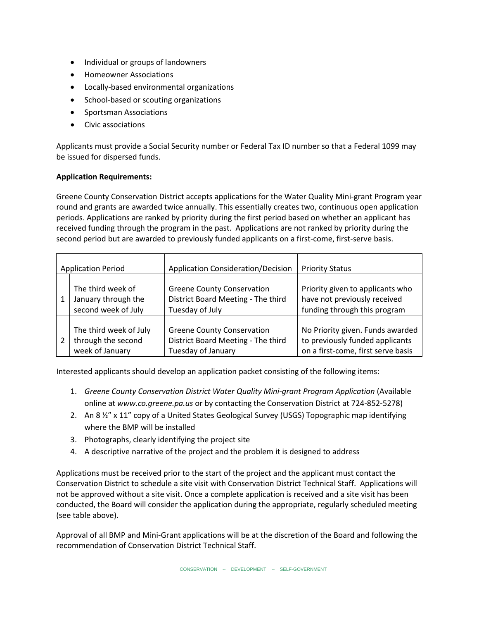- Individual or groups of landowners
- Homeowner Associations
- Locally-based environmental organizations
- School-based or scouting organizations
- Sportsman Associations
- Civic associations

Applicants must provide a Social Security number or Federal Tax ID number so that a Federal 1099 may be issued for dispersed funds.

#### **Application Requirements:**

Greene County Conservation District accepts applications for the Water Quality Mini-grant Program year round and grants are awarded twice annually. This essentially creates two, continuous open application periods. Applications are ranked by priority during the first period based on whether an applicant has received funding through the program in the past. Applications are not ranked by priority during the second period but are awarded to previously funded applicants on a first-come, first-serve basis.

| <b>Application Period</b> |                        | <b>Application Consideration/Decision</b> | <b>Priority Status</b>             |
|---------------------------|------------------------|-------------------------------------------|------------------------------------|
|                           | The third week of      | <b>Greene County Conservation</b>         | Priority given to applicants who   |
|                           | January through the    | District Board Meeting - The third        | have not previously received       |
|                           | second week of July    | Tuesday of July                           | funding through this program       |
|                           | The third week of July | <b>Greene County Conservation</b>         | No Priority given. Funds awarded   |
|                           | through the second     | District Board Meeting - The third        | to previously funded applicants    |
|                           | week of January        | Tuesday of January                        | on a first-come, first serve basis |

Interested applicants should develop an application packet consisting of the following items:

- 1. *Greene County Conservation District Water Quality Mini-grant Program Application* (Available online at *www.co.greene.pa.us* or by contacting the Conservation District at 724-852-5278)
- 2. An 8  $\frac{1}{2}$ " x 11" copy of a United States Geological Survey (USGS) Topographic map identifying where the BMP will be installed
- 3. Photographs, clearly identifying the project site
- 4. A descriptive narrative of the project and the problem it is designed to address

Applications must be received prior to the start of the project and the applicant must contact the Conservation District to schedule a site visit with Conservation District Technical Staff. Applications will not be approved without a site visit. Once a complete application is received and a site visit has been conducted, the Board will consider the application during the appropriate, regularly scheduled meeting (see table above).

Approval of all BMP and Mini-Grant applications will be at the discretion of the Board and following the recommendation of Conservation District Technical Staff.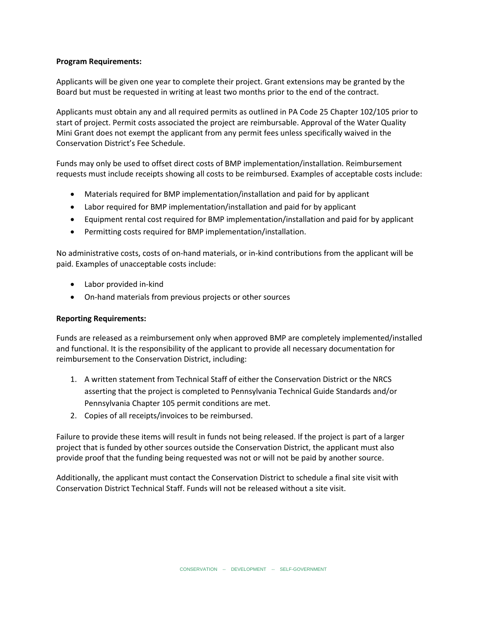#### **Program Requirements:**

Applicants will be given one year to complete their project. Grant extensions may be granted by the Board but must be requested in writing at least two months prior to the end of the contract.

Applicants must obtain any and all required permits as outlined in PA Code 25 Chapter 102/105 prior to start of project. Permit costs associated the project are reimbursable. Approval of the Water Quality Mini Grant does not exempt the applicant from any permit fees unless specifically waived in the Conservation District's Fee Schedule.

Funds may only be used to offset direct costs of BMP implementation/installation. Reimbursement requests must include receipts showing all costs to be reimbursed. Examples of acceptable costs include:

- Materials required for BMP implementation/installation and paid for by applicant
- Labor required for BMP implementation/installation and paid for by applicant
- Equipment rental cost required for BMP implementation/installation and paid for by applicant
- Permitting costs required for BMP implementation/installation.

No administrative costs, costs of on-hand materials, or in-kind contributions from the applicant will be paid. Examples of unacceptable costs include:

- Labor provided in-kind
- On-hand materials from previous projects or other sources

## **Reporting Requirements:**

Funds are released as a reimbursement only when approved BMP are completely implemented/installed and functional. It is the responsibility of the applicant to provide all necessary documentation for reimbursement to the Conservation District, including:

- 1. A written statement from Technical Staff of either the Conservation District or the NRCS asserting that the project is completed to Pennsylvania Technical Guide Standards and/or Pennsylvania Chapter 105 permit conditions are met.
- 2. Copies of all receipts/invoices to be reimbursed.

Failure to provide these items will result in funds not being released. If the project is part of a larger project that is funded by other sources outside the Conservation District, the applicant must also provide proof that the funding being requested was not or will not be paid by another source.

Additionally, the applicant must contact the Conservation District to schedule a final site visit with Conservation District Technical Staff. Funds will not be released without a site visit.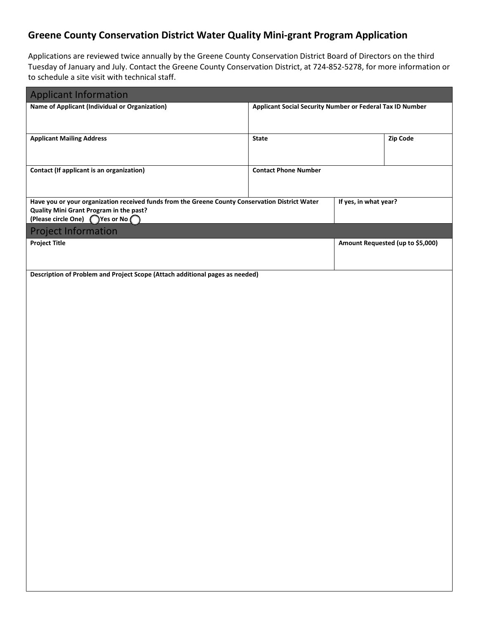# **Greene County Conservation District Water Quality Mini-grant Program Application**

Applications are reviewed twice annually by the Greene County Conservation District Board of Directors on the third Tuesday of January and July. Contact the Greene County Conservation District, at 724-852-5278, for more information or to schedule a site visit with technical staff.

| <b>Applicant Information</b>                                                                                                               |                             |                                                           |                                  |  |  |
|--------------------------------------------------------------------------------------------------------------------------------------------|-----------------------------|-----------------------------------------------------------|----------------------------------|--|--|
| Name of Applicant (Individual or Organization)                                                                                             |                             | Applicant Social Security Number or Federal Tax ID Number |                                  |  |  |
|                                                                                                                                            |                             |                                                           |                                  |  |  |
| <b>Applicant Mailing Address</b>                                                                                                           | <b>State</b>                |                                                           | Zip Code                         |  |  |
|                                                                                                                                            |                             |                                                           |                                  |  |  |
|                                                                                                                                            |                             |                                                           |                                  |  |  |
| Contact (If applicant is an organization)                                                                                                  | <b>Contact Phone Number</b> |                                                           |                                  |  |  |
|                                                                                                                                            |                             |                                                           |                                  |  |  |
| Have you or your organization received funds from the Greene County Conservation District Water<br>Quality Mini Grant Program in the past? |                             | If yes, in what year?                                     |                                  |  |  |
| (Please circle One) Ves or No                                                                                                              |                             |                                                           |                                  |  |  |
| <b>Project Information</b>                                                                                                                 |                             |                                                           |                                  |  |  |
| <b>Project Title</b>                                                                                                                       |                             |                                                           | Amount Requested (up to \$5,000) |  |  |
|                                                                                                                                            |                             |                                                           |                                  |  |  |
| Description of Problem and Project Scope (Attach additional pages as needed)                                                               |                             |                                                           |                                  |  |  |
|                                                                                                                                            |                             |                                                           |                                  |  |  |
|                                                                                                                                            |                             |                                                           |                                  |  |  |
|                                                                                                                                            |                             |                                                           |                                  |  |  |
|                                                                                                                                            |                             |                                                           |                                  |  |  |
|                                                                                                                                            |                             |                                                           |                                  |  |  |
|                                                                                                                                            |                             |                                                           |                                  |  |  |
|                                                                                                                                            |                             |                                                           |                                  |  |  |
|                                                                                                                                            |                             |                                                           |                                  |  |  |
|                                                                                                                                            |                             |                                                           |                                  |  |  |
|                                                                                                                                            |                             |                                                           |                                  |  |  |
|                                                                                                                                            |                             |                                                           |                                  |  |  |
|                                                                                                                                            |                             |                                                           |                                  |  |  |
|                                                                                                                                            |                             |                                                           |                                  |  |  |
|                                                                                                                                            |                             |                                                           |                                  |  |  |
|                                                                                                                                            |                             |                                                           |                                  |  |  |
|                                                                                                                                            |                             |                                                           |                                  |  |  |
|                                                                                                                                            |                             |                                                           |                                  |  |  |
|                                                                                                                                            |                             |                                                           |                                  |  |  |
|                                                                                                                                            |                             |                                                           |                                  |  |  |
|                                                                                                                                            |                             |                                                           |                                  |  |  |
|                                                                                                                                            |                             |                                                           |                                  |  |  |
|                                                                                                                                            |                             |                                                           |                                  |  |  |
|                                                                                                                                            |                             |                                                           |                                  |  |  |